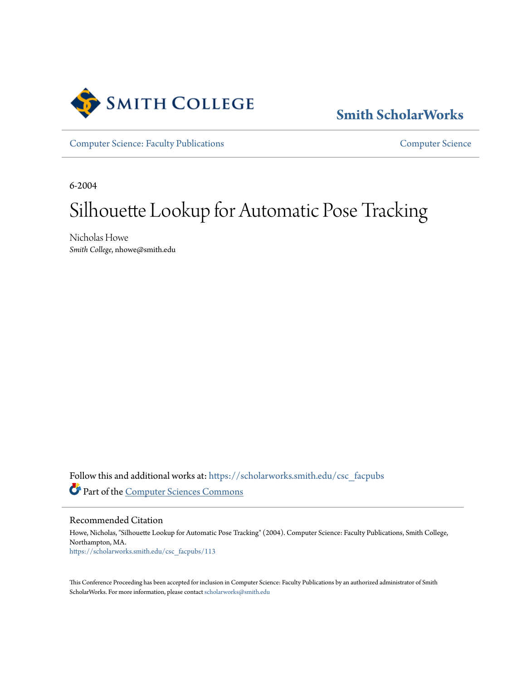

**[Smith ScholarWorks](https://scholarworks.smith.edu/?utm_source=scholarworks.smith.edu%2Fcsc_facpubs%2F113&utm_medium=PDF&utm_campaign=PDFCoverPages)**

[Computer Science: Faculty Publications](https://scholarworks.smith.edu/csc_facpubs?utm_source=scholarworks.smith.edu%2Fcsc_facpubs%2F113&utm_medium=PDF&utm_campaign=PDFCoverPages) **[Computer Science](https://scholarworks.smith.edu/csc?utm_source=scholarworks.smith.edu%2Fcsc_facpubs%2F113&utm_medium=PDF&utm_campaign=PDFCoverPages)** Computer Science

6-2004

# Silhouette Lookup for Automatic Pose Tracking

Nicholas Howe *Smith College*, nhowe@smith.edu

Follow this and additional works at: [https://scholarworks.smith.edu/csc\\_facpubs](https://scholarworks.smith.edu/csc_facpubs?utm_source=scholarworks.smith.edu%2Fcsc_facpubs%2F113&utm_medium=PDF&utm_campaign=PDFCoverPages) Part of the [Computer Sciences Commons](http://network.bepress.com/hgg/discipline/142?utm_source=scholarworks.smith.edu%2Fcsc_facpubs%2F113&utm_medium=PDF&utm_campaign=PDFCoverPages)

Recommended Citation

Howe, Nicholas, "Silhouette Lookup for Automatic Pose Tracking" (2004). Computer Science: Faculty Publications, Smith College, Northampton, MA. [https://scholarworks.smith.edu/csc\\_facpubs/113](https://scholarworks.smith.edu/csc_facpubs/113?utm_source=scholarworks.smith.edu%2Fcsc_facpubs%2F113&utm_medium=PDF&utm_campaign=PDFCoverPages)

This Conference Proceeding has been accepted for inclusion in Computer Science: Faculty Publications by an authorized administrator of Smith ScholarWorks. For more information, please contact [scholarworks@smith.edu](mailto:scholarworks@smith.edu)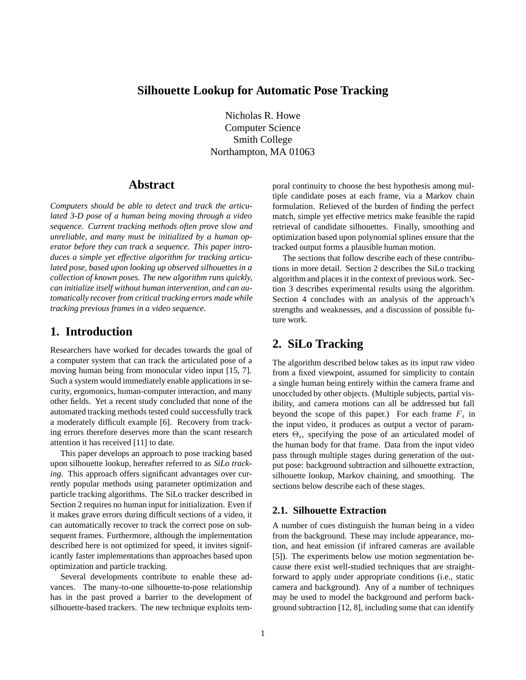Nicholas R. Howe Computer Science Smith College Northampton, MA 01063

## **Abstract**

*Computers should be able to detect and track the articulated 3-D pose of a human being moving through a video sequence. Current tracking methods often prove slow and unreliable, and many must be initialized by a human operator before they can track a sequence. This paper introduces a simple yet effective algorithm for tracking articulated pose, based upon looking up observed silhouettes in a collection of known poses. The new algorithm runs quickly, can initialize itself without human intervention, and can automatically recover from critical tracking errors made while tracking previous frames in a video sequence.*

# **1. Introduction**

Researchers have worked for decades towards the goal of a computer system that can track the articulated pose of a moving human being from monocular video input [15, 7]. Such a system would immediately enable applications in security, ergomonics, human-computer interaction, and many other fields. Yet a recent study concluded that none of the automated tracking methods tested could successfully track a moderately difficult example [6]. Recovery from tracking errors therefore deserves more than the scant research attention it has received [11] to date.

This paper develops an approach to pose tracking based upon silhouette lookup, hereafter referred to as *SiLo tracking*. This approach offers significant advantages over currently popular methods using parameter optimization and particle tracking algorithms. The SiLo tracker described in Section 2 requires no human input for initialization. Even if it makes grave errors during difficult sections of a video, it can automatically recover to track the correct pose on subsequent frames. Furthermore, although the implementation described here is not optimized for speed, it invites significantly faster implementations than approaches based upon optimization and particle tracking.

Several developments contribute to enable these advances. The many-to-one silhouette-to-pose relationship has in the past proved a barrier to the development of silhouette-based trackers. The new technique exploits temporal continuity to choose the best hypothesis among multiple candidate poses at each frame, via a Markov chain formulation. Relieved of the burden of finding the perfect match, simple yet effective metrics make feasible the rapid retrieval of candidate silhouettes. Finally, smoothing and optimization based upon polynomial splines ensure that the tracked output forms a plausible human motion.

The sections that follow describe each of these contributions in more detail. Section 2 describes the SiLo tracking algorithm and places it in the context of previous work. Section 3 describes experimental results using the algorithm. Section 4 concludes with an analysis of the approach's strengths and weaknesses, and a discussion of possible future work.

# **2. SiLo Tracking**

The algorithm described below takes as its input raw video from a fixed viewpoint, assumed for simplicity to contain a single human being entirely within the camera frame and unoccluded by other objects. (Multiple subjects, partial visibility, and camera motions can all be addressed but fall beyond the scope of this paper.) For each frame  $F_i$  in the input video, it produces as output a vector of parameters Θ*i*, specifying the pose of an articulated model of the human body for that frame. Data from the input video pass through multiple stages during generation of the output pose: background subtraction and silhouette extraction, silhouette lookup, Markov chaining, and smoothing. The sections below describe each of these stages.

#### **2.1. Silhouette Extraction**

A number of cues distinguish the human being in a video from the background. These may include appearance, motion, and heat emission (if infrared cameras are available [5]). The experiments below use motion segmentation because there exist well-studied techniques that are straightforward to apply under appropriate conditions (i.e., static camera and background). Any of a number of techniques may be used to model the background and perform background subtraction [12, 8], including some that can identify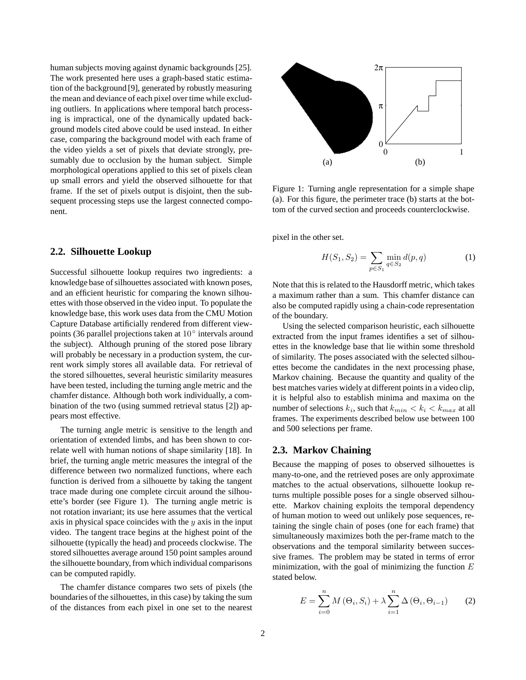human subjects moving against dynamic backgrounds [25]. The work presented here uses a graph-based static estimation of the background [9], generated by robustly measuring the mean and deviance of each pixel over time while excluding outliers. In applications where temporal batch processing is impractical, one of the dynamically updated background models cited above could be used instead. In either case, comparing the background model with each frame of the video yields a set of pixels that deviate strongly, presumably due to occlusion by the human subject. Simple morphological operations applied to this set of pixels clean up small errors and yield the observed silhouette for that frame. If the set of pixels output is disjoint, then the subsequent processing steps use the largest connected component.

#### **2.2. Silhouette Lookup**

Successful silhouette lookup requires two ingredients: a knowledge base of silhouettes associated with known poses, and an efficient heuristic for comparing the known silhouettes with those observed in the video input. To populate the knowledge base, this work uses data from the CMU Motion Capture Database artificially rendered from different viewpoints (36 parallel projections taken at 10◦ intervals around the subject). Although pruning of the stored pose library will probably be necessary in a production system, the current work simply stores all available data. For retrieval of the stored silhouettes, several heuristic similarity measures have been tested, including the turning angle metric and the chamfer distance. Although both work individually, a combination of the two (using summed retrieval status [2]) appears most effective.

The turning angle metric is sensitive to the length and orientation of extended limbs, and has been shown to correlate well with human notions of shape similarity [18]. In brief, the turning angle metric measures the integral of the difference between two normalized functions, where each function is derived from a silhouette by taking the tangent trace made during one complete circuit around the silhouette's border (see Figure 1). The turning angle metric is not rotation invariant; its use here assumes that the vertical axis in physical space coincides with the  $y$  axis in the input video. The tangent trace begins at the highest point of the silhouette (typically the head) and proceeds clockwise. The stored silhouettes average around 150 point samples around the silhouette boundary, from which individual comparisons can be computed rapidly.

The chamfer distance compares two sets of pixels (the boundaries of the silhouettes, in this case) by taking the sum of the distances from each pixel in one set to the nearest



Figure 1: Turning angle representation for a simple shape (a). For this figure, the perimeter trace (b) starts at the bottom of the curved section and proceeds counterclockwise.

pixel in the other set.

$$
H(S_1, S_2) = \sum_{p \in S_1} \min_{q \in S_2} d(p, q) \tag{1}
$$

Note that this is related to the Hausdorff metric, which takes a maximum rather than a sum. This chamfer distance can also be computed rapidly using a chain-code representation of the boundary.

Using the selected comparison heuristic, each silhouette extracted from the input frames identifies a set of silhouettes in the knowledge base that lie within some threshold of similarity. The poses associated with the selected silhouettes become the candidates in the next processing phase, Markov chaining. Because the quantity and quality of the best matches varies widely at different points in a video clip, it is helpful also to establish minima and maxima on the number of selections  $k_i$ , such that  $k_{min} < k_i < k_{max}$  at all frames. The experiments described below use between 100 and 500 selections per frame.

#### **2.3. Markov Chaining**

Because the mapping of poses to observed silhouettes is many-to-one, and the retrieved poses are only approximate matches to the actual observations, silhouette lookup returns multiple possible poses for a single observed silhouette. Markov chaining exploits the temporal dependency of human motion to weed out unlikely pose sequences, retaining the single chain of poses (one for each frame) that simultaneously maximizes both the per-frame match to the observations and the temporal similarity between successive frames. The problem may be stated in terms of error minimization, with the goal of minimizing the function  $E$ stated below.

$$
E = \sum_{i=0}^{n} M(\Theta_i, S_i) + \lambda \sum_{i=1}^{n} \Delta(\Theta_i, \Theta_{i-1})
$$
 (2)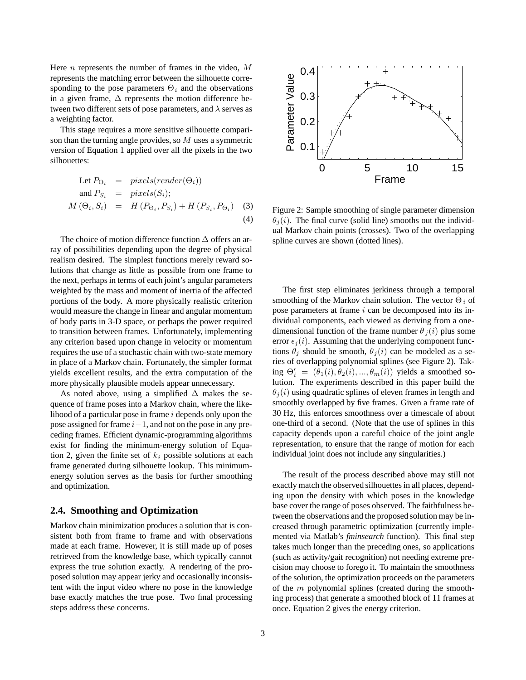Here *n* represents the number of frames in the video,  $M$ represents the matching error between the silhouette corresponding to the pose parameters  $\Theta_i$  and the observations in a given frame,  $\Delta$  represents the motion difference between two different sets of pose parameters, and  $\lambda$  serves as a weighting factor.

This stage requires a more sensitive silhouette comparison than the turning angle provides, so M uses a symmetric version of Equation 1 applied over all the pixels in the two silhouettes:

Let 
$$
P_{\Theta_i}
$$
 = pixels(render( $\Theta_i$ ))  
and  $P_{S_i}$  = pixels( $S_i$ );  
 $M(\Theta_i, S_i)$  =  $H(P_{\Theta_i}, P_{S_i}) + H(P_{S_i}, P_{\Theta_i})$  (3)

The choice of motion difference function ∆ offers an array of possibilities depending upon the degree of physical realism desired. The simplest functions merely reward solutions that change as little as possible from one frame to the next, perhaps in terms of each joint's angular parameters weighted by the mass and moment of inertia of the affected portions of the body. A more physically realistic criterion would measure the change in linear and angular momentum of body parts in 3-D space, or perhaps the power required to transition between frames. Unfortunately, implementing any criterion based upon change in velocity or momentum requires the use of a stochastic chain with two-state memory in place of a Markov chain. Fortunately, the simpler format yields excellent results, and the extra computation of the more physically plausible models appear unnecessary.

As noted above, using a simplified  $\Delta$  makes the sequence of frame poses into a Markov chain, where the likelihood of a particular pose in frame  $i$  depends only upon the pose assigned for frame <sup>i</sup>*−*1, and not on the pose in any preceding frames. Efficient dynamic-programming algorithms exist for finding the minimum-energy solution of Equation 2, given the finite set of  $k_i$  possible solutions at each frame generated during silhouette lookup. This minimumenergy solution serves as the basis for further smoothing and optimization.

#### **2.4. Smoothing and Optimization**

Markov chain minimization produces a solution that is consistent both from frame to frame and with observations made at each frame. However, it is still made up of poses retrieved from the knowledge base, which typically cannot express the true solution exactly. A rendering of the proposed solution may appear jerky and occasionally inconsistent with the input video where no pose in the knowledge base exactly matches the true pose. Two final processing steps address these concerns.



Figure 2: Sample smoothing of single parameter dimension  $\theta_i(i)$ . The final curve (solid line) smooths out the individual Markov chain points (crosses). Two of the overlapping spline curves are shown (dotted lines).

The first step eliminates jerkiness through a temporal smoothing of the Markov chain solution. The vector Θ*<sup>i</sup>* of pose parameters at frame  $i$  can be decomposed into its individual components, each viewed as deriving from a onedimensional function of the frame number  $\theta_i(i)$  plus some error  $\epsilon_i(i)$ . Assuming that the underlying component functions  $\theta_j$  should be smooth,  $\theta_j(i)$  can be modeled as a series of overlapping polynomial splines (see Figure 2). Taking  $\Theta'_i = (\theta_1(i), \theta_2(i), ..., \theta_m(i))$  yields a smoothed solution. The experiments described in this paper build the  $\theta_i(i)$  using quadratic splines of eleven frames in length and smoothly overlapped by five frames. Given a frame rate of 30 Hz, this enforces smoothness over a timescale of about one-third of a second. (Note that the use of splines in this capacity depends upon a careful choice of the joint angle representation, to ensure that the range of motion for each individual joint does not include any singularities.)

The result of the process described above may still not exactly match the observed silhouettes in all places, depending upon the density with which poses in the knowledge base cover the range of poses observed. The faithfulness between the observations and the proposed solution may be increased through parametric optimization (currently implemented via Matlab's *fminsearch* function). This final step takes much longer than the preceding ones, so applications (such as activity/gait recognition) not needing extreme precision may choose to forego it. To maintain the smoothness of the solution, the optimization proceeds on the parameters of the  $m$  polynomial splines (created during the smoothing process) that generate a smoothed block of 11 frames at once. Equation 2 gives the energy criterion.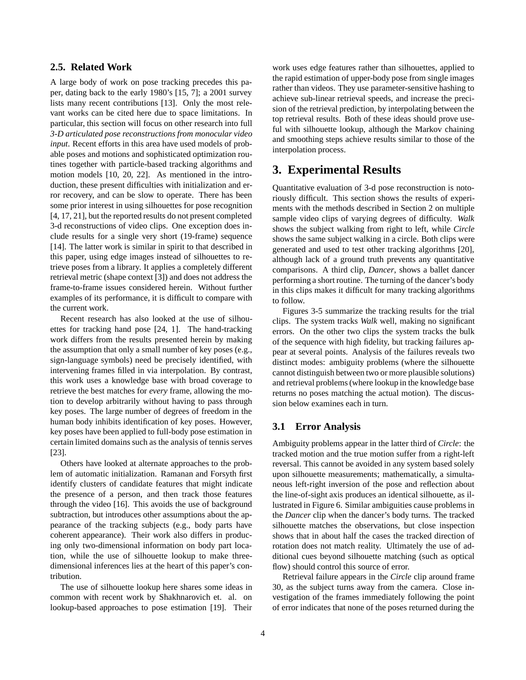#### **2.5. Related Work**

A large body of work on pose tracking precedes this paper, dating back to the early 1980's [15, 7]; a 2001 survey lists many recent contributions [13]. Only the most relevant works can be cited here due to space limitations. In particular, this section will focus on other research into full *3-D articulated pose reconstructions from monocular video input*. Recent efforts in this area have used models of probable poses and motions and sophisticated optimization routines together with particle-based tracking algorithms and motion models [10, 20, 22]. As mentioned in the introduction, these present difficulties with initialization and error recovery, and can be slow to operate. There has been some prior interest in using silhouettes for pose recognition [4, 17, 21], but the reported results do not present completed 3-d reconstructions of video clips. One exception does include results for a single very short (19-frame) sequence [14]. The latter work is similar in spirit to that described in this paper, using edge images instead of silhouettes to retrieve poses from a library. It applies a completely different retrieval metric (shape context [3]) and does not address the frame-to-frame issues considered herein. Without further examples of its performance, it is difficult to compare with the current work.

Recent research has also looked at the use of silhouettes for tracking hand pose [24, 1]. The hand-tracking work differs from the results presented herein by making the assumption that only a small number of key poses (e.g., sign-language symbols) need be precisely identified, with intervening frames filled in via interpolation. By contrast, this work uses a knowledge base with broad coverage to retrieve the best matches for *every* frame, allowing the motion to develop arbitrarily without having to pass through key poses. The large number of degrees of freedom in the human body inhibits identification of key poses. However, key poses have been applied to full-body pose estimation in certain limited domains such as the analysis of tennis serves [23].

Others have looked at alternate approaches to the problem of automatic initialization. Ramanan and Forsyth first identify clusters of candidate features that might indicate the presence of a person, and then track those features through the video [16]. This avoids the use of background subtraction, but introduces other assumptions about the appearance of the tracking subjects (e.g., body parts have coherent appearance). Their work also differs in producing only two-dimensional information on body part location, while the use of silhouette lookup to make threedimensional inferences lies at the heart of this paper's contribution.

The use of silhouette lookup here shares some ideas in common with recent work by Shakhnarovich et. al. on lookup-based approaches to pose estimation [19]. Their

work uses edge features rather than silhouettes, applied to the rapid estimation of upper-body pose from single images rather than videos. They use parameter-sensitive hashing to achieve sub-linear retrieval speeds, and increase the precision of the retrieval prediction, by interpolating between the top retrieval results. Both of these ideas should prove useful with silhouette lookup, although the Markov chaining and smoothing steps achieve results similar to those of the interpolation process.

# **3. Experimental Results**

Quantitative evaluation of 3-d pose reconstruction is notoriously difficult. This section shows the results of experiments with the methods described in Section 2 on multiple sample video clips of varying degrees of difficulty. *Walk* shows the subject walking from right to left, while *Circle* shows the same subject walking in a circle. Both clips were generated and used to test other tracking algorithms [20], although lack of a ground truth prevents any quantitative comparisons. A third clip, *Dancer*, shows a ballet dancer performing a short routine. The turning of the dancer's body in this clips makes it difficult for many tracking algorithms to follow.

Figures 3-5 summarize the tracking results for the trial clips. The system tracks *Walk* well, making no significant errors. On the other two clips the system tracks the bulk of the sequence with high fidelity, but tracking failures appear at several points. Analysis of the failures reveals two distinct modes: ambiguity problems (where the silhouette cannot distinguish between two or more plausible solutions) and retrieval problems (where lookup in the knowledge base returns no poses matching the actual motion). The discussion below examines each in turn.

#### **3.1 Error Analysis**

Ambiguity problems appear in the latter third of *Circle*: the tracked motion and the true motion suffer from a right-left reversal. This cannot be avoided in any system based solely upon silhouette measurements; mathematically, a simultaneous left-right inversion of the pose and reflection about the line-of-sight axis produces an identical silhouette, as illustrated in Figure 6. Similar ambiguities cause problems in the *Dancer* clip when the dancer's body turns. The tracked silhouette matches the observations, but close inspection shows that in about half the cases the tracked direction of rotation does not match reality. Ultimately the use of additional cues beyond silhouette matching (such as optical flow) should control this source of error.

Retrieval failure appears in the *Circle* clip around frame 30, as the subject turns away from the camera. Close investigation of the frames immediately following the point of error indicates that none of the poses returned during the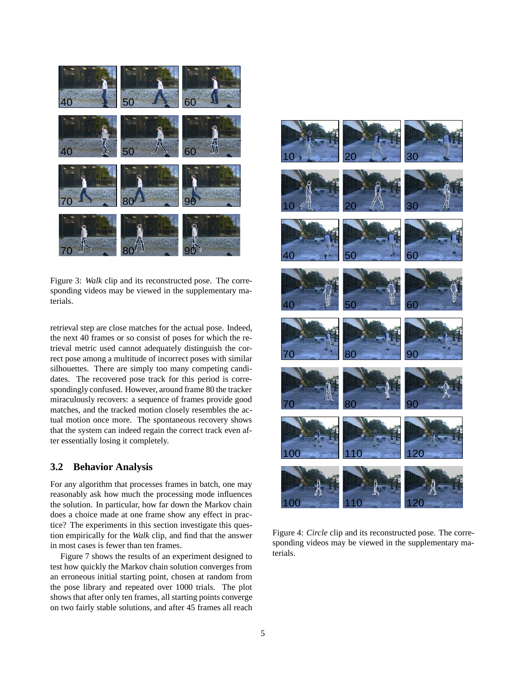

Figure 3: *Walk* clip and its reconstructed pose. The corresponding videos may be viewed in the supplementary materials.

retrieval step are close matches for the actual pose. Indeed, the next 40 frames or so consist of poses for which the retrieval metric used cannot adequately distinguish the correct pose among a multitude of incorrect poses with similar silhouettes. There are simply too many competing candidates. The recovered pose track for this period is correspondingly confused. However, around frame 80 the tracker miraculously recovers: a sequence of frames provide good matches, and the tracked motion closely resembles the actual motion once more. The spontaneous recovery shows that the system can indeed regain the correct track even after essentially losing it completely.

#### **3.2 Behavior Analysis**

For any algorithm that processes frames in batch, one may reasonably ask how much the processing mode influences the solution. In particular, how far down the Markov chain does a choice made at one frame show any effect in practice? The experiments in this section investigate this question empirically for the *Walk* clip, and find that the answer in most cases is fewer than ten frames.

Figure 7 shows the results of an experiment designed to test how quickly the Markov chain solution converges from an erroneous initial starting point, chosen at random from the pose library and repeated over 1000 trials. The plot shows that after only ten frames, all starting points converge on two fairly stable solutions, and after 45 frames all reach



Figure 4: *Circle* clip and its reconstructed pose. The corresponding videos may be viewed in the supplementary materials.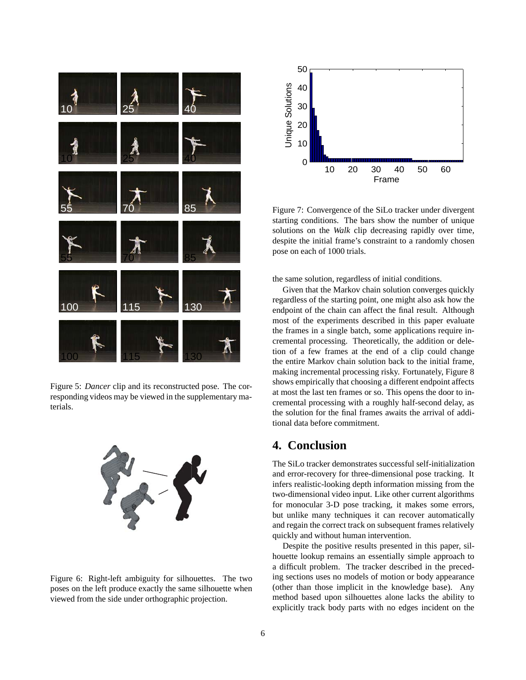

Figure 5: *Dancer* clip and its reconstructed pose. The corresponding videos may be viewed in the supplementary materials.



Figure 6: Right-left ambiguity for silhouettes. The two poses on the left produce exactly the same silhouette when viewed from the side under orthographic projection.



Figure 7: Convergence of the SiLo tracker under divergent starting conditions. The bars show the number of unique solutions on the *Walk* clip decreasing rapidly over time, despite the initial frame's constraint to a randomly chosen pose on each of 1000 trials.

the same solution, regardless of initial conditions.

Given that the Markov chain solution converges quickly regardless of the starting point, one might also ask how the endpoint of the chain can affect the final result. Although most of the experiments described in this paper evaluate the frames in a single batch, some applications require incremental processing. Theoretically, the addition or deletion of a few frames at the end of a clip could change the entire Markov chain solution back to the initial frame, making incremental processing risky. Fortunately, Figure 8 shows empirically that choosing a different endpoint affects at most the last ten frames or so. This opens the door to incremental processing with a roughly half-second delay, as the solution for the final frames awaits the arrival of additional data before commitment.

# **4. Conclusion**

The SiLo tracker demonstrates successful self-initialization and error-recovery for three-dimensional pose tracking. It infers realistic-looking depth information missing from the two-dimensional video input. Like other current algorithms for monocular 3-D pose tracking, it makes some errors, but unlike many techniques it can recover automatically and regain the correct track on subsequent frames relatively quickly and without human intervention.

Despite the positive results presented in this paper, silhouette lookup remains an essentially simple approach to a difficult problem. The tracker described in the preceding sections uses no models of motion or body appearance (other than those implicit in the knowledge base). Any method based upon silhouettes alone lacks the ability to explicitly track body parts with no edges incident on the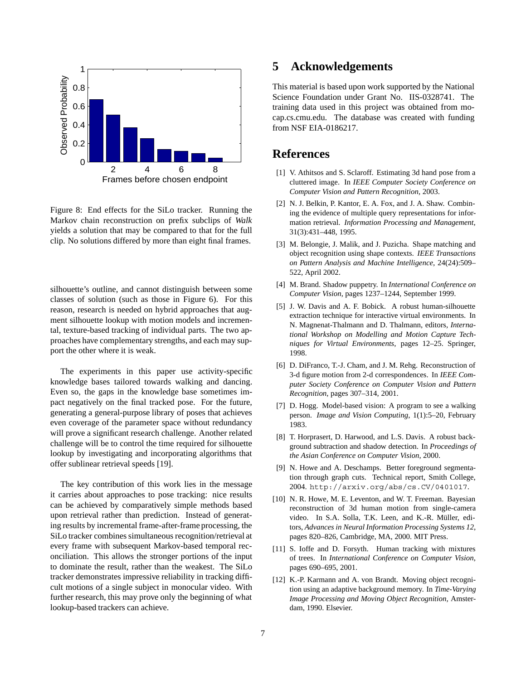

Figure 8: End effects for the SiLo tracker. Running the Markov chain reconstruction on prefix subclips of *Walk* yields a solution that may be compared to that for the full clip. No solutions differed by more than eight final frames.

silhouette's outline, and cannot distinguish between some classes of solution (such as those in Figure 6). For this reason, research is needed on hybrid approaches that augment silhouette lookup with motion models and incremental, texture-based tracking of individual parts. The two approaches have complementary strengths, and each may support the other where it is weak.

The experiments in this paper use activity-specific knowledge bases tailored towards walking and dancing. Even so, the gaps in the knowledge base sometimes impact negatively on the final tracked pose. For the future, generating a general-purpose library of poses that achieves even coverage of the parameter space without redundancy will prove a significant research challenge. Another related challenge will be to control the time required for silhouette lookup by investigating and incorporating algorithms that offer sublinear retrieval speeds [19].

The key contribution of this work lies in the message it carries about approaches to pose tracking: nice results can be achieved by comparatively simple methods based upon retrieval rather than prediction. Instead of generating results by incremental frame-after-frame processing, the SiLo tracker combines simultaneous recognition/retrieval at every frame with subsequent Markov-based temporal reconciliation. This allows the stronger portions of the input to dominate the result, rather than the weakest. The SiLo tracker demonstrates impressive reliability in tracking difficult motions of a single subject in monocular video. With further research, this may prove only the beginning of what lookup-based trackers can achieve.

## **5 Acknowledgements**

This material is based upon work supported by the National Science Foundation under Grant No. IIS-0328741. The training data used in this project was obtained from mocap.cs.cmu.edu. The database was created with funding from NSF EIA-0186217.

# **References**

- [1] V. Athitsos and S. Sclaroff. Estimating 3d hand pose from a cluttered image. In *IEEE Computer Society Conference on Computer Vision and Pattern Recognition*, 2003.
- [2] N. J. Belkin, P. Kantor, E. A. Fox, and J. A. Shaw. Combining the evidence of multiple query representations for information retrieval. *Information Processing and Management*, 31(3):431–448, 1995.
- [3] M. Belongie, J. Malik, and J. Puzicha. Shape matching and object recognition using shape contexts. *IEEE Transactions on Pattern Analysis and Machine Intelligence*, 24(24):509– 522, April 2002.
- [4] M. Brand. Shadow puppetry. In *International Conference on Computer Vision*, pages 1237–1244, September 1999.
- [5] J. W. Davis and A. F. Bobick. A robust human-silhouette extraction technique for interactive virtual environments. In N. Magnenat-Thalmann and D. Thalmann, editors, *International Workshop on Modelling and Motion Capture Techniques for Virtual Environments*, pages 12–25. Springer, 1998.
- [6] D. DiFranco, T.-J. Cham, and J. M. Rehg. Reconstruction of 3-d figure motion from 2-d correspondences. In *IEEE Computer Society Conference on Computer Vision and Pattern Recognition*, pages 307–314, 2001.
- [7] D. Hogg. Model-based vision: A program to see a walking person. *Image and Vision Computing*, 1(1):5–20, February 1983.
- [8] T. Horprasert, D. Harwood, and L.S. Davis. A robust background subtraction and shadow detection. In *Proceedings of the Asian Conference on Computer Vision*, 2000.
- [9] N. Howe and A. Deschamps. Better foreground segmentation through graph cuts. Technical report, Smith College, 2004. http://arxiv.org/abs/cs.CV/0401017.
- [10] N. R. Howe, M. E. Leventon, and W. T. Freeman. Bayesian reconstruction of 3d human motion from single-camera video. In S.A. Solla, T.K. Leen, and K.-R. Müller, editors, *Advances in Neural Information Processing Systems 12*, pages 820–826, Cambridge, MA, 2000. MIT Press.
- [11] S. Ioffe and D. Forsyth. Human tracking with mixtures of trees. In *International Conference on Computer Vision*, pages 690–695, 2001.
- [12] K.-P. Karmann and A. von Brandt. Moving object recognition using an adaptive background memory. In *Time-Varying Image Processing and Moving Object Recognition*, Amsterdam, 1990. Elsevier.